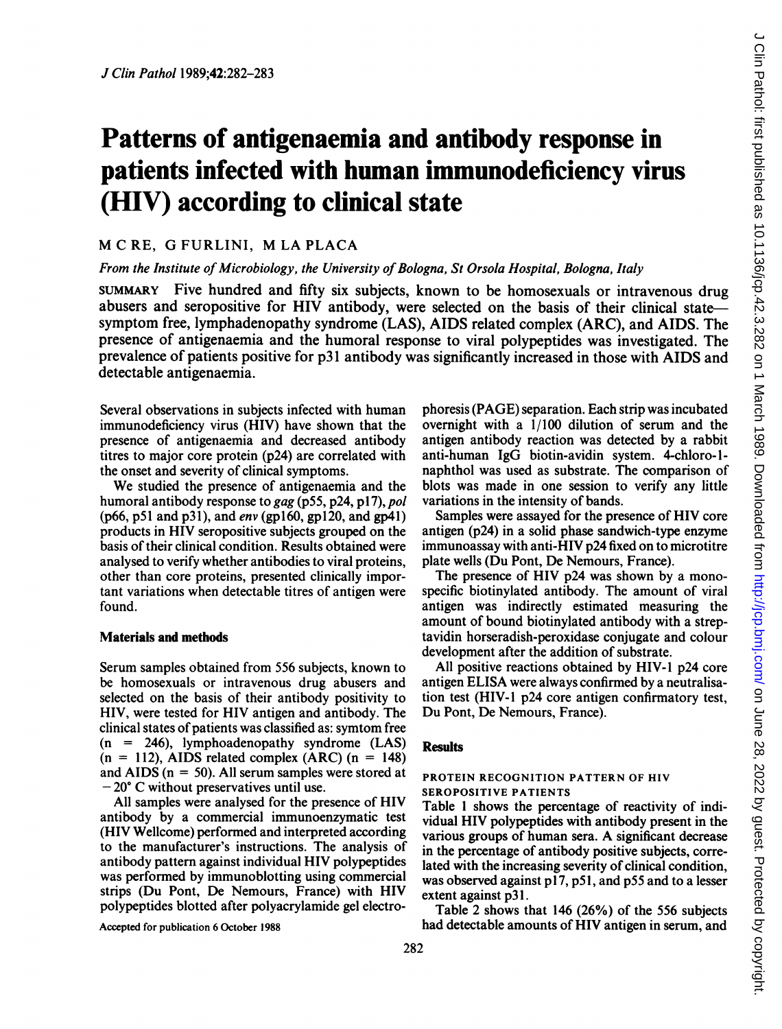# Patterns of antigenaemia and antibody response in patients infected with human immunodeficiency virus (HIV) according to clinical state

## M C RE, G FURLINI, M LA PLACA

#### From the Institute of Microbiology, the University of Bologna, St Orsola Hospital, Bologna, Italy

SUMMARY Five hundred and fifty six subjects, known to be homosexuals or intravenous drug abusers and seropositive for HIV antibody, were selected on the basis of their clinical statesymptom free, lymphadenopathy syndrome (LAS), AIDS related complex (ARC), and AIDS. The presence of antigenaemia and the humoral response to viral polypeptides was investigated. The prevalence of patients positive for p31 antibody was significantly increased in those with AIDS and detectable antigenaemia.

Several observations in subjects infected with human immunodeficiency virus (HIV) have shown that the presence of antigenaemia and decreased antibody titres to major core protein (p24) are correlated with the onset and severity of clinical symptoms.

We studied the presence of antigenaemia and the humoral antibody response to gag (p55, p24, p17), pol (p66, p51 and p31), and env (gpl60, gpl2O, and gp4l) products in HIV seropositive subjects grouped on the basis of their clinical condition. Results obtained were analysed to verify whether antibodies to viral proteins, other than core proteins, presented clinically important variations when detectable titres of antigen were found.

#### Materials and methods

Serum samples obtained from 556 subjects, known to be homosexuals or intravenous drug abusers and selected on the basis of their antibody positivity to HIV, were tested for HIV antigen and antibody. The clinical states of patients was classified as: symtom free  $(n = 246)$ , lymphoadenopathy syndrome  $(LAS)$  $(n = 112)$ , AIDS related complex (ARC)  $(n = 148)$ and AIDS ( $n = 50$ ). All serum samples were stored at  $-20^{\circ}$  C without preservatives until use.

All samples were analysed for the presence of HIV antibody by a commercial immunoenzymatic test (HIV Wellcome) performed and interpreted according to the manufacturer's instructions. The analysis of antibody pattern against individual HIV polypeptides was performed by immunoblotting using commercial strips (Du Pont, De Nemours, France) with HIV polypeptides blotted after polyacrylamide gel electro-

Accepted for publication 6 October 1988

phoresis (PAGE) separation. Each strip was incubated overnight with a 1/100 dilution of serum and the antigen antibody reaction was detected by a rabbit anti-human IgG biotin-avidin system. 4-chloro- 1 naphthol was used as substrate. The comparison of blots was made in one session to verify any little variations in the intensity of bands.

Samples were assayed for the presence of HIV core antigen (p24) in a solid phase sandwich-type enzyme immunoassay with anti-HIV p24 fixed on to microtitre plate wells (Du Pont, De Nemours, France).

The presence of HIV p24 was shown by a monospecific biotinylated antibody. The amount of viral antigen was indirectly estimated measuring the amount of bound biotinylated antibody with a streptavidin horseradish-peroxidase conjugate and colour development after the addition of substrate.

All positive reactions obtained by HIV-1 p24 core antigen ELISA were always confirmed by a neutralisation test (HIV-1 p24 core antigen confirmatory test, Du Pont, De Nemours, France).

#### **Results**

#### PROTEIN RECOGNITION PATTERN OF HIV SEROPOSITIVE PATIENTS

Table <sup>1</sup> shows the percentage of reactivity of individual HIV polypeptides with antibody present in the various groups of human sera. A significant decrease in the percentage of antibody positive subjects, correlated with the increasing severity of clinical condition, was observed against p17, p51, and p55 and to a lesser extent against p31.

Table 2 shows that 146 (26%) of the 556 subjects had detectable amounts of HIV antigen in serum, and